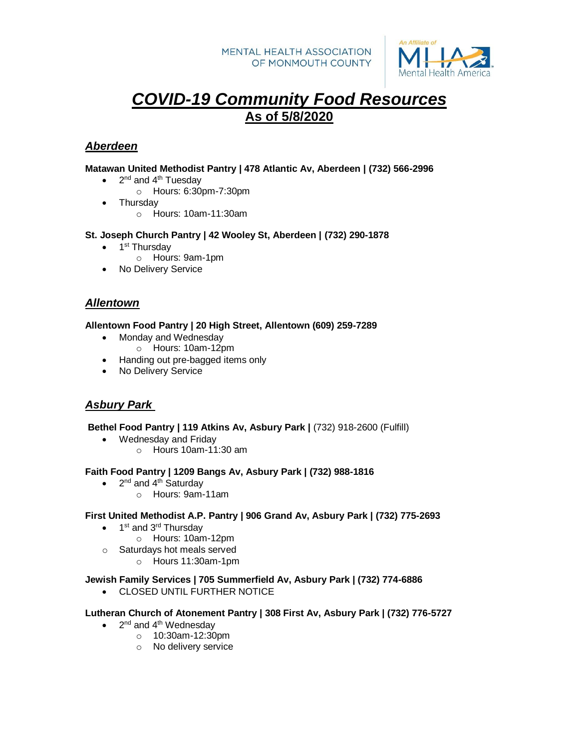

# *COVID-19 Community Food Resources*  **As of 5/8/2020**

# *Aberdeen*

### **Matawan United Methodist Pantry | 478 Atlantic Av, Aberdeen | (732) 566-2996**

- $\bullet$  2<sup>nd</sup> and 4<sup>th</sup> Tuesday
	- o Hours: 6:30pm-7:30pm
- **Thursdav** 
	- o Hours: 10am-11:30am

### **St. Joseph Church Pantry | 42 Wooley St, Aberdeen | (732) 290-1878**

- 1<sup>st</sup> Thursday
	- o Hours: 9am-1pm
- No Delivery Service

# *Allentown*

### **Allentown Food Pantry | 20 High Street, Allentown (609) 259-7289**

- Monday and Wednesday
	- o Hours: 10am-12pm
- Handing out pre-bagged items only
- No Delivery Service

# *Asbury Park*

**Bethel Food Pantry | 119 Atkins Av, Asbury Park |** (732) 918-2600 (Fulfill)

- Wednesday and Friday
	- o Hours 10am-11:30 am

#### **Faith Food Pantry | 1209 Bangs Av, Asbury Park | (732) 988-1816**

- $2<sup>nd</sup>$  and 4<sup>th</sup> Saturday
	- o Hours: 9am-11am
- **First United Methodist A.P. Pantry | 906 Grand Av, Asbury Park | (732) 775-2693**
	- 1<sup>st</sup> and 3<sup>rd</sup> Thursday
		- o Hours: 10am-12pm
	- o Saturdays hot meals served
		- o Hours 11:30am-1pm

#### **Jewish Family Services | 705 Summerfield Av, Asbury Park | (732) 774-6886**

CLOSED UNTIL FURTHER NOTICE

#### **Lutheran Church of Atonement Pantry | 308 First Av, Asbury Park | (732) 776-5727**

- $\bullet$  2<sup>nd</sup> and 4<sup>th</sup> Wednesday
	- o 10:30am-12:30pm
	- o No delivery service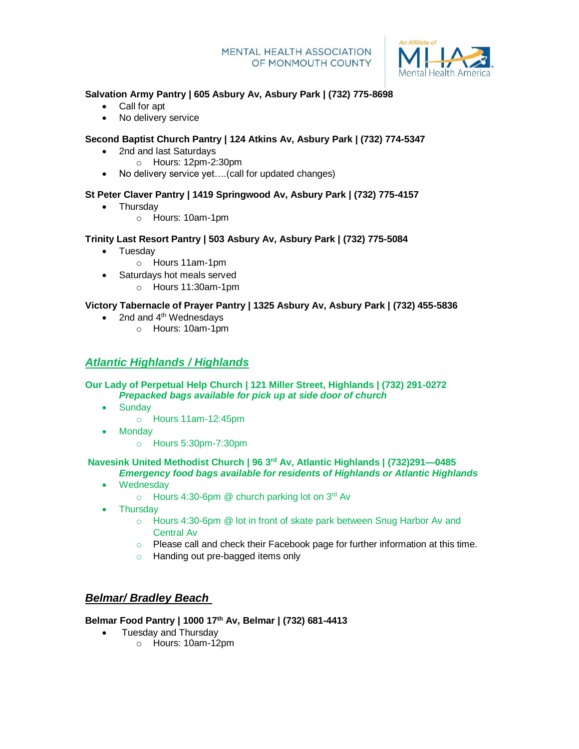

#### $\overline{a}$ **Salvation Army Pantry | 605 Asbury Av, Asbury Park | (732) 775-8698**

- Call for apt
- No delivery service

# **Second Baptist Church Pantry | 124 Atkins Av, Asbury Park | (732) 774-5347**

- 2nd and last Saturdays
	- o Hours: 12pm-2:30pm
- No delivery service yet....(call for updated changes)

# **St Peter Claver Pantry | 1419 Springwood Av, Asbury Park | (732) 775-4157**

- Thursdav
	- o Hours: 10am-1pm

# **Trinity Last Resort Pantry | 503 Asbury Av, Asbury Park | (732) 775-5084**

- Tuesday
	- o Hours 11am-1pm
	- Saturdays hot meals served
		- o Hours 11:30am-1pm

# **Victory Tabernacle of Prayer Pantry | 1325 Asbury Av, Asbury Park | (732) 455-5836**

- $\bullet$  2nd and 4<sup>th</sup> Wednesdays
	- o Hours: 10am-1pm

# *Atlantic Highlands / Highlands*

#### **Our Lady of Perpetual Help Church | 121 Miller Street, Highlands | (732) 291-0272** *Prepacked bags available for pick up at side door of church*

- Sundav
	- o Hours 11am-12:45pm
	- Monday
		- o Hours 5:30pm-7:30pm

#### **Navesink United Methodist Church | 96 3rd Av, Atlantic Highlands | (732)291—0485** *Emergency food bags available for residents of Highlands or Atlantic Highlands*

- Wednesday
	- $\circ$  Hours 4:30-6pm @ church parking lot on 3<sup>rd</sup> Av
- Thursday
	- o Hours 4:30-6pm @ lot in front of skate park between Snug Harbor Av and Central Av
	- $\circ$  Please call and check their Facebook page for further information at this time.
	- o Handing out pre-bagged items only

# *Belmar/ Bradley Beach*

### **Belmar Food Pantry | 1000 17th Av, Belmar | (732) 681-4413**

- Tuesday and Thursday
	- o Hours: 10am-12pm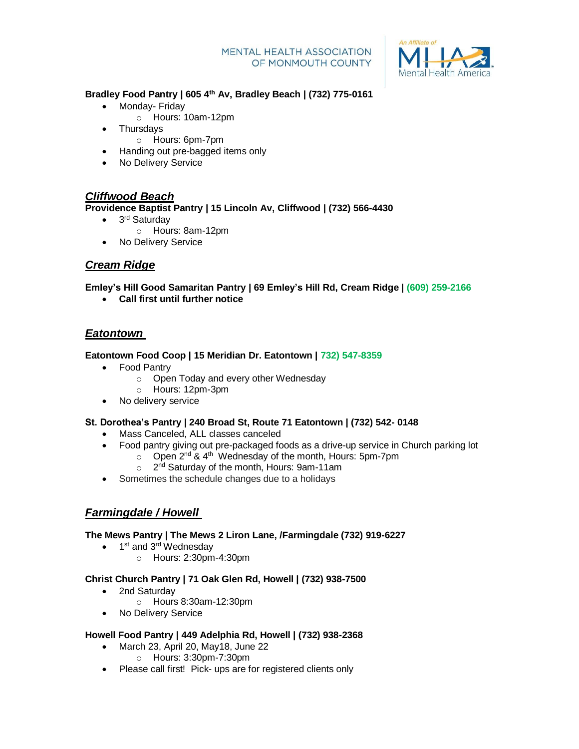

#### $\overline{a}$ **Bradley Food Pantry | 605 4th Av, Bradley Beach | (732) 775-0161**

- Monday- Friday
	- o Hours: 10am-12pm
- Thursdays
	- o Hours: 6pm-7pm
- Handing out pre-bagged items only
- No Delivery Service

# *Cliffwood Beach*

**Providence Baptist Pantry | 15 Lincoln Av, Cliffwood | (732) 566-4430**

- 3<sup>rd</sup> Saturday
	- o Hours: 8am-12pm
- No Delivery Service

# *Cream Ridge*

**Emley's Hill Good Samaritan Pantry | 69 Emley's Hill Rd, Cream Ridge | (609) 259-2166**

**Call first until further notice**

# *Eatontown*

# **Eatontown Food Coop | 15 Meridian Dr. Eatontown | 732) 547-8359**

- Food Pantry
	- o Open Today and every other Wednesday
	- o Hours: 12pm-3pm
- No delivery service

# **St. Dorothea's Pantry | 240 Broad St, Route 71 Eatontown | (732) 542- 0148**

- Mass Canceled, ALL classes canceled
- Food pantry giving out pre-packaged foods as a drive-up service in Church parking lot
	- $\circ$  Open 2<sup>nd</sup> & 4<sup>th</sup> Wednesday of the month, Hours: 5pm-7pm
	- $\circ$ 2<sup>nd</sup> Saturday of the month, Hours: 9am-11am
- Sometimes the schedule changes due to a holidays

# *Farmingdale / Howell*

### **The Mews Pantry | The Mews 2 Liron Lane, /Farmingdale (732) 919-6227**

- 1<sup>st</sup> and 3<sup>rd</sup> Wednesday
	- o Hours: 2:30pm-4:30pm

### **Christ Church Pantry | 71 Oak Glen Rd, Howell | (732) 938-7500**

- 2nd Saturday
	- o Hours 8:30am-12:30pm
- No Delivery Service

### **Howell Food Pantry | 449 Adelphia Rd, Howell | (732) 938-2368**

- March 23, April 20, May18, June 22
	- o Hours: 3:30pm-7:30pm
- Please call first! Pick- ups are for registered clients only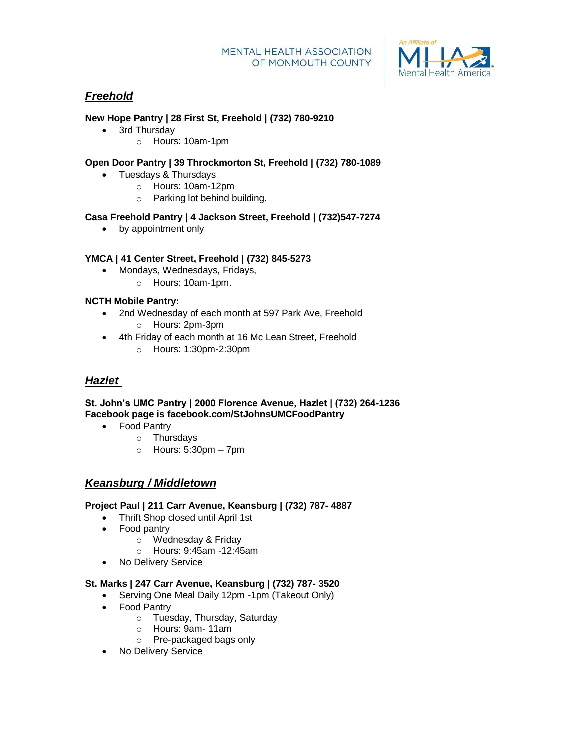

# *Freehold*

# **New Hope Pantry | 28 First St, Freehold | (732) 780-9210**

- 3rd Thursday
	- o Hours: 10am-1pm

# **Open Door Pantry | 39 Throckmorton St, Freehold | (732) 780-1089**

- Tuesdays & Thursdays
	- o Hours: 10am-12pm
	- o Parking lot behind building.

# **Casa Freehold Pantry | 4 Jackson Street, Freehold | (732)547-7274**

• by appointment only

# **YMCA | 41 Center Street, Freehold | (732) 845-5273**

- Mondays, Wednesdays, Fridays,
	- o Hours: 10am-1pm.

# **NCTH Mobile Pantry:**

- 2nd Wednesday of each month at 597 Park Ave, Freehold o Hours: 2pm-3pm
- 4th Friday of each month at 16 Mc Lean Street, Freehold
	- o Hours: 1:30pm-2:30pm

# *Hazlet*

### **St. John's UMC Pantry | 2000 Florence Avenue, Hazlet | (732) 264-1236 Facebook page is facebook.com/StJohnsUMCFoodPantry**

- Food Pantry
	- o Thursdays
	- $\circ$  Hours: 5:30pm 7pm

# *Keansburg / Middletown*

### **Project Paul | 211 Carr Avenue, Keansburg | (732) 787- 4887**

- Thrift Shop closed until April 1st
- Food pantry
	- o Wednesday & Friday
	- o Hours: 9:45am -12:45am
- No Delivery Service

### **St. Marks | 247 Carr Avenue, Keansburg | (732) 787- 3520**

- Serving One Meal Daily 12pm -1pm (Takeout Only)
- Food Pantry
	- o Tuesday, Thursday, Saturday
	- o Hours: 9am- 11am
	- o Pre-packaged bags only
- No Delivery Service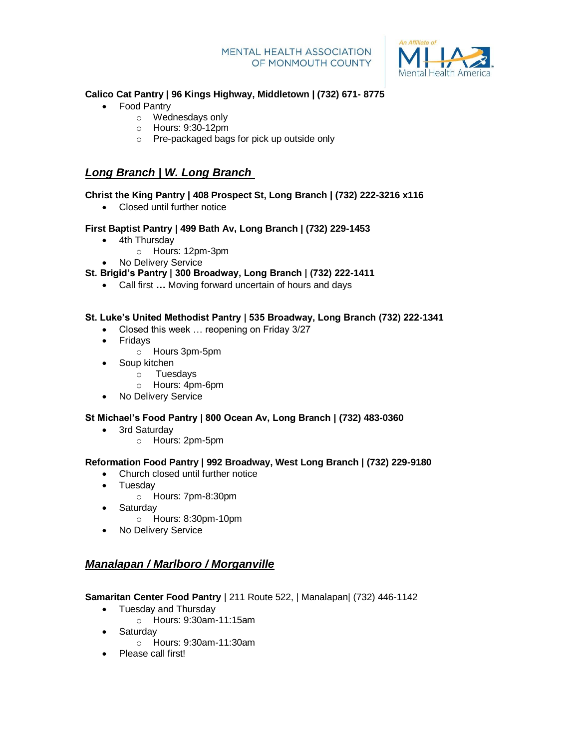

#### $\overline{a}$ **Calico Cat Pantry | 96 Kings Highway, Middletown | (732) 671- 8775**

- Food Pantry
	- o Wednesdays only
	- o Hours: 9:30-12pm
	- o Pre-packaged bags for pick up outside only

# *Long Branch | W. Long Branch*

# **Christ the King Pantry | 408 Prospect St, Long Branch | (732) 222-3216 x116**

Closed until further notice

# **First Baptist Pantry | 499 Bath Av, Long Branch | (732) 229-1453**

- 4th Thursday
	- o Hours: 12pm-3pm
- No Delivery Service
- **St. Brigid's Pantry | 300 Broadway, Long Branch | (732) 222-1411**
	- Call first **…** Moving forward uncertain of hours and days

# **St. Luke's United Methodist Pantry | 535 Broadway, Long Branch (732) 222-1341**

- Closed this week ... reopening on Friday 3/27
- Fridays
	- o Hours 3pm-5pm
- Soup kitchen
	- o Tuesdays
	- o Hours: 4pm-6pm
- No Delivery Service

### **St Michael's Food Pantry | 800 Ocean Av, Long Branch | (732) 483-0360**

- 3rd Saturday
	- o Hours: 2pm-5pm

### **Reformation Food Pantry | 992 Broadway, West Long Branch | (732) 229-9180**

- Church closed until further notice
- Tuesdav
	- o Hours: 7pm-8:30pm
- Saturday
	- o Hours: 8:30pm-10pm
- No Delivery Service

# *Manalapan / Marlboro / Morganville*

### **Samaritan Center Food Pantry** | 211 Route 522, | Manalapan| (732) 446-1142

- Tuesday and Thursday
	- o Hours: 9:30am-11:15am
- Saturday
	- o Hours: 9:30am-11:30am
- Please call first!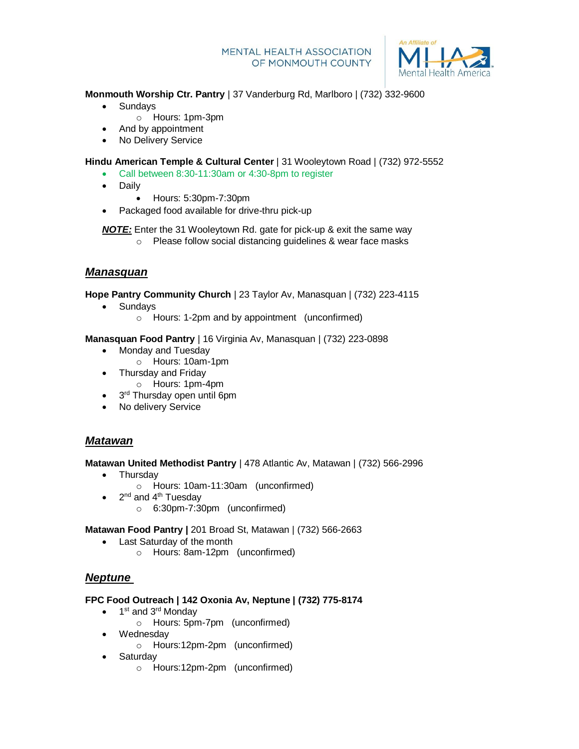

 $\overline{a}$ **Monmouth Worship Ctr. Pantry** | 37 Vanderburg Rd, Marlboro | (732) 332-9600

- Sundays
	- o Hours: 1pm-3pm
- And by appointment
- No Delivery Service

**Hindu American Temple & Cultural Center** | 31 Wooleytown Road | (732) 972-5552

- Call between 8:30-11:30am or 4:30-8pm to register
- Daily
	- Hours: 5:30pm-7:30pm
- Packaged food available for drive-thru pick-up

*NOTE:* Enter the 31 Wooleytown Rd. gate for pick-up & exit the same way

o Please follow social distancing guidelines & wear face masks

# *Manasquan*

**Hope Pantry Community Church** | 23 Taylor Av, Manasquan | (732) 223-4115

- Sundays
	- o Hours: 1-2pm and by appointment (unconfirmed)

**Manasquan Food Pantry** | 16 Virginia Av, Manasquan | (732) 223-0898

- Monday and Tuesday
	- o Hours: 10am-1pm
- Thursday and Friday
	- o Hours: 1pm-4pm
- 3<sup>rd</sup> Thursday open until 6pm
- No delivery Service

# *Matawan*

**Matawan United Methodist Pantry** | 478 Atlantic Av, Matawan | (732) 566-2996

- Thursdav
	- o Hours: 10am-11:30am (unconfirmed)
- $2^{nd}$  and  $4^{th}$  Tuesday
	- o 6:30pm-7:30pm (unconfirmed)

**Matawan Food Pantry |** 201 Broad St, Matawan | (732) 566-2663

- Last Saturday of the month
	- o Hours: 8am-12pm (unconfirmed)

# *Neptune*

### **FPC Food Outreach | 142 Oxonia Av, Neptune | (732) 775-8174**

- 1<sup>st</sup> and 3<sup>rd</sup> Monday
	- o Hours: 5pm-7pm (unconfirmed)
- Wednesday
	- o Hours:12pm-2pm (unconfirmed)
- Saturday
	- o Hours:12pm-2pm (unconfirmed)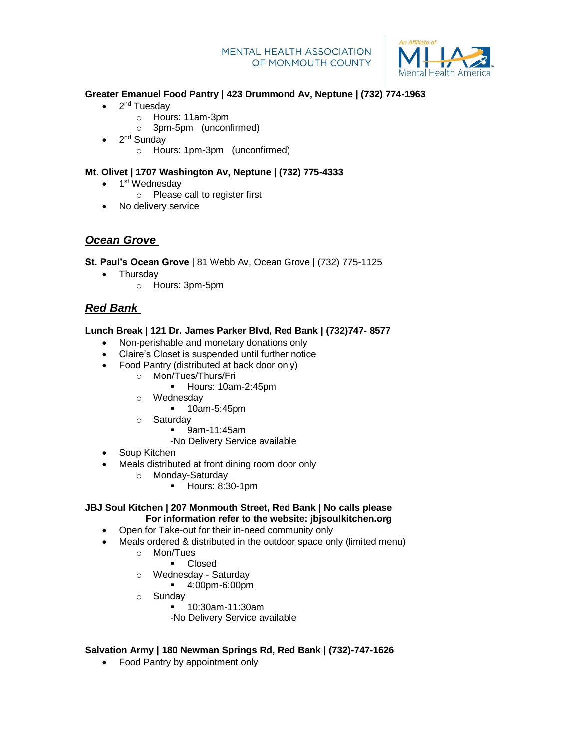

#### **Greater Emanuel Food Pantry | 423 Drummond Av, Neptune | (732) 774-1963**

- 2<sup>nd</sup> Tuesday
	- o Hours: 11am-3pm
		- o 3pm-5pm (unconfirmed)
- 2<sup>nd</sup> Sunday
	- o Hours: 1pm-3pm (unconfirmed)

# **Mt. Olivet | 1707 Washington Av, Neptune | (732) 775-4333**

- 1<sup>st</sup> Wednesday
	- o Please call to register first
- No delivery service

# *Ocean Grove*

**St. Paul's Ocean Grove** | 81 Webb Av, Ocean Grove | (732) 775-1125

- Thursday
	- o Hours: 3pm-5pm

# *Red Bank*

# **Lunch Break | 121 Dr. James Parker Blvd, Red Bank | (732)747- 8577**

- Non-perishable and monetary donations only
- Claire's Closet is suspended until further notice
- Food Pantry (distributed at back door only)
	- o Mon/Tues/Thurs/Fri
		- Hours: 10am-2:45pm
	- o Wednesday
		- **10am-5:45pm**
	- o Saturday
		- 9am-11:45am
		- -No Delivery Service available
- Soup Kitchen
	- Meals distributed at front dining room door only
		- o Monday-Saturday
			- Hours: 8:30-1pm

### **JBJ Soul Kitchen | 207 Monmouth Street, Red Bank | No calls please For information refer to the website: jbjsoulkitchen.org**

- Open for Take-out for their in-need community only
- Meals ordered & distributed in the outdoor space only (limited menu)
	- o Mon/Tues
		- **Closed**
	- o Wednesday Saturday
		- 4:00pm-6:00pm
	- o Sunday
		- 10:30am-11:30am
			- -No Delivery Service available

# **Salvation Army | 180 Newman Springs Rd, Red Bank | (732)-747-1626**

• Food Pantry by appointment only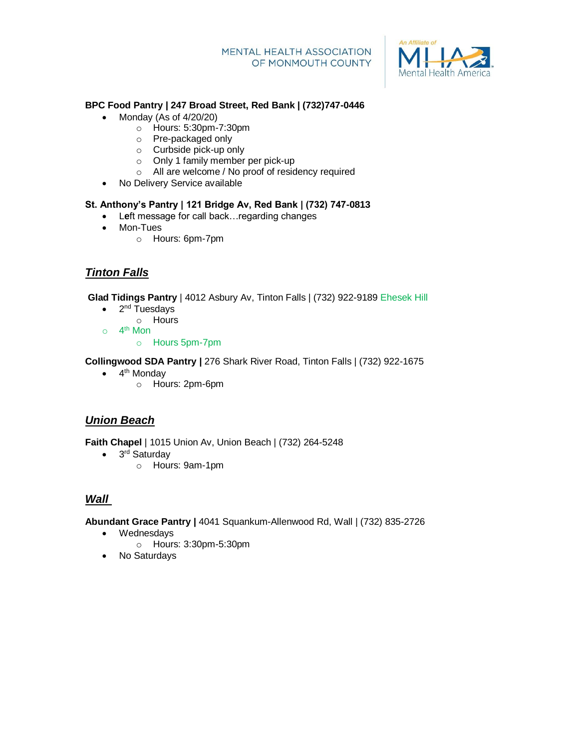

# **BPC Food Pantry | 247 Broad Street, Red Bank | (732)747-0446**

- Monday (As of  $4/20/20$ )
	- o Hours: 5:30pm-7:30pm
	- o Pre-packaged only
	- o Curbside pick-up only
	- o Only 1 family member per pick-up
	- o All are welcome / No proof of residency required
- No Delivery Service available

### **St. Anthony's Pantry | 121 Bridge Av, Red Bank | (732) 747-0813**

- L**e**ft message for call back…regarding changes
- Mon-Tues
	- o Hours: 6pm-7pm

# *Tinton Falls*

**Glad Tidings Pantry** | 4012 Asbury Av, Tinton Falls | (732) 922-9189 Ehesek Hill

- 2<sup>nd</sup> Tuesdays
	- o Hours
- $\circ$  4<sup>th</sup> Mon
	- o Hours 5pm-7pm

**Collingwood SDA Pantry |** 276 Shark River Road, Tinton Falls | (732) 922-1675

- 4<sup>th</sup> Monday
	- o Hours: 2pm-6pm

# *Union Beach*

**Faith Chapel** | 1015 Union Av, Union Beach | (732) 264-5248

- 3<sup>rd</sup> Saturday
	- o Hours: 9am-1pm

# *Wall*

**Abundant Grace Pantry |** 4041 Squankum-Allenwood Rd, Wall | (732) 835-2726

- Wednesdays
	- o Hours: 3:30pm-5:30pm
- No Saturdays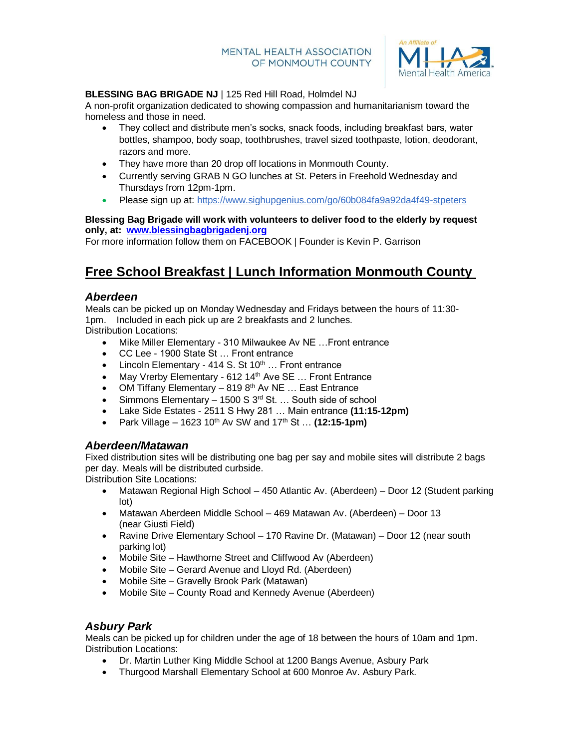

#### $\overline{a}$ **BLESSING BAG BRIGADE NJ** | 125 Red Hill Road, Holmdel NJ

A non-profit organization dedicated to showing compassion and humanitarianism toward the homeless and those in need.

- They collect and distribute men's socks, snack foods, including breakfast bars, water bottles, shampoo, body soap, toothbrushes, travel sized toothpaste, lotion, deodorant, razors and more.
- They have more than 20 drop off locations in Monmouth County.
- Currently serving GRAB N GO lunches at St. Peters in Freehold Wednesday and Thursdays from 12pm-1pm.
- Please sign up at: <https://www.sighupgenius.com/go/60b084fa9a92da4f49-stpeters>

### **Blessing Bag Brigade will work with volunteers to deliver food to the elderly by request only, at: [www.blessingbagbrigadenj.org](http://www.blessingbagbrigadenj.org/)**

For more information follow them on FACEBOOK | Founder is Kevin P. Garrison

# **Free School Breakfast | Lunch Information Monmouth County**

# *Aberdeen*

Meals can be picked up on Monday Wednesday and Fridays between the hours of 11:30- 1pm. Included in each pick up are 2 breakfasts and 2 lunches.

Distribution Locations:

- Mike Miller Elementary 310 Milwaukee Av NE …Front entrance
- CC Lee 1900 State St … Front entrance
- Lincoln Elementary 414 S. St  $10^{th}$  ... Front entrance
- May Vrerby Elementary 612 14<sup>th</sup> Ave SE ... Front Entrance
- OM Tiffany Elementary  $-8198<sup>th</sup>$  Av NE ... East Entrance
- Simmons Elementary 1500 S  $3<sup>rd</sup>$  St. ... South side of school
- Lake Side Estates 2511 S Hwy 281 … Main entrance **(11:15-12pm)**
- Park Village 1623 10th Av SW and 17th St … **(12:15-1pm)**

# *Aberdeen/Matawan*

Fixed distribution sites will be distributing one bag per say and mobile sites will distribute 2 bags per day. Meals will be distributed curbside.

Distribution Site Locations:

- Matawan Regional High School 450 Atlantic Av. (Aberdeen) Door 12 (Student parking lot)
- Matawan Aberdeen Middle School 469 Matawan Av. (Aberdeen) Door 13 (near Giusti Field)
- Ravine Drive Elementary School 170 Ravine Dr. (Matawan) Door 12 (near south parking lot)
- Mobile Site Hawthorne Street and Cliffwood Av (Aberdeen)
- Mobile Site Gerard Avenue and Lloyd Rd. (Aberdeen)
- Mobile Site Gravelly Brook Park (Matawan)
- Mobile Site County Road and Kennedy Avenue (Aberdeen)

# *Asbury Park*

Meals can be picked up for children under the age of 18 between the hours of 10am and 1pm. Distribution Locations:

- Dr. Martin Luther King Middle School at 1200 Bangs Avenue, Asbury Park
- Thurgood Marshall Elementary School at 600 Monroe Av. Asbury Park.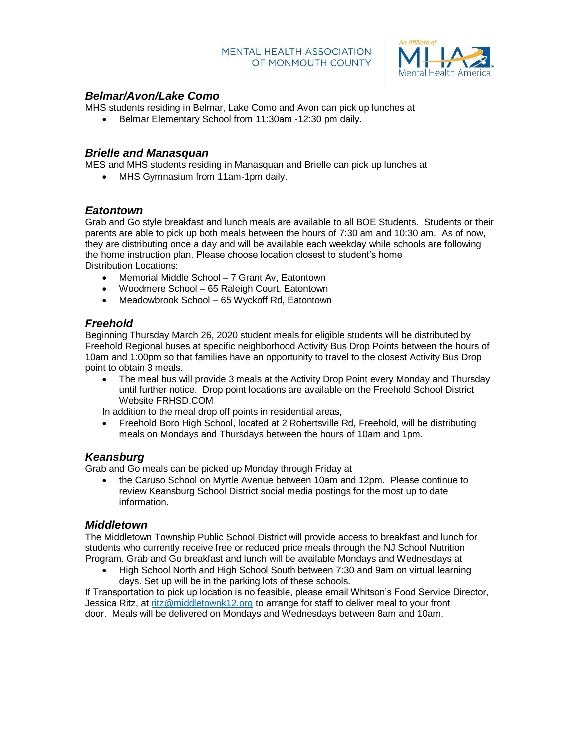

# *Belmar/Avon/Lake Como*

MHS students residing in Belmar, Lake Como and Avon can pick up lunches at

Belmar Elementary School from 11:30am -12:30 pm daily.

### *Brielle and Manasquan*

MES and MHS students residing in Manasquan and Brielle can pick up lunches at

• MHS Gymnasium from 11am-1pm daily.

# *Eatontown*

Grab and Go style breakfast and lunch meals are available to all BOE Students. Students or their parents are able to pick up both meals between the hours of 7:30 am and 10:30 am. As of now, they are distributing once a day and will be available each weekday while schools are following the home instruction plan. Please choose location closest to student's home Distribution Locations:

- Memorial Middle School 7 Grant Av, Eatontown
- Woodmere School 65 Raleigh Court, Eatontown
- Meadowbrook School 65 Wyckoff Rd, Eatontown

# *Freehold*

Beginning Thursday March 26, 2020 student meals for eligible students will be distributed by Freehold Regional buses at specific neighborhood Activity Bus Drop Points between the hours of 10am and 1:00pm so that families have an opportunity to travel to the closest Activity Bus Drop point to obtain 3 meals.

 The meal bus will provide 3 meals at the Activity Drop Point every Monday and Thursday until further notice. Drop point locations are available on the Freehold School District Website FRHSD.COM

In addition to the meal drop off points in residential areas,

 Freehold Boro High School, located at 2 Robertsville Rd, Freehold, will be distributing meals on Mondays and Thursdays between the hours of 10am and 1pm.

# *Keansburg*

Grab and Go meals can be picked up Monday through Friday at

• the Caruso School on Myrtle Avenue between 10am and 12pm. Please continue to review Keansburg School District social media postings for the most up to date information.

### *Middletown*

The Middletown Township Public School District will provide access to breakfast and lunch for students who currently receive free or reduced price meals through the NJ School Nutrition Program. Grab and Go breakfast and lunch will be available Mondays and Wednesdays at

 High School North and High School South between 7:30 and 9am on virtual learning days. Set up will be in the parking lots of these schools.

If Transportation to pick up location is no feasible, please email Whitson's Food Service Director, Jessica Ritz, at [ritz@middletownk12.org](mailto:ritz@middletownk12.org) to arrange for staff to deliver meal to your front door. Meals will be delivered on Mondays and Wednesdays between 8am and 10am.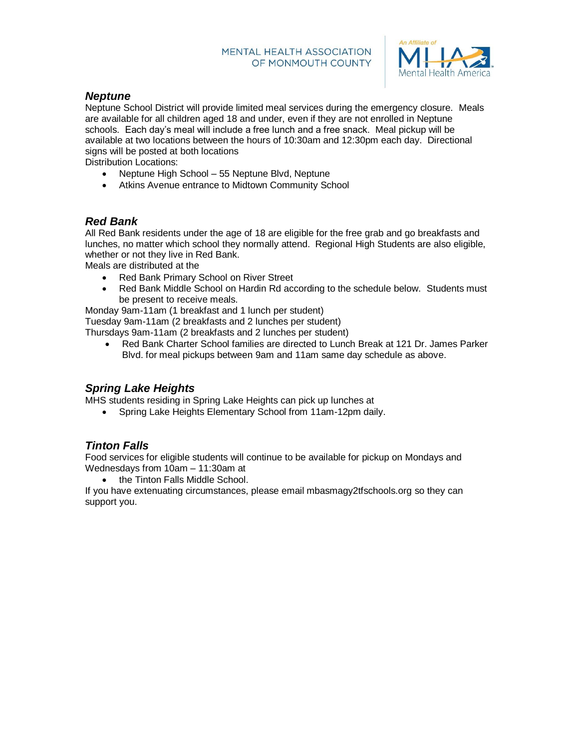

# *Neptune*

Neptune School District will provide limited meal services during the emergency closure. Meals are available for all children aged 18 and under, even if they are not enrolled in Neptune schools. Each day's meal will include a free lunch and a free snack. Meal pickup will be available at two locations between the hours of 10:30am and 12:30pm each day. Directional signs will be posted at both locations

Distribution Locations:

- Neptune High School 55 Neptune Blvd, Neptune
- Atkins Avenue entrance to Midtown Community School

# *Red Bank*

All Red Bank residents under the age of 18 are eligible for the free grab and go breakfasts and lunches, no matter which school they normally attend. Regional High Students are also eligible, whether or not they live in Red Bank.

Meals are distributed at the

- Red Bank Primary School on River Street
- Red Bank Middle School on Hardin Rd according to the schedule below. Students must be present to receive meals.

Monday 9am-11am (1 breakfast and 1 lunch per student) Tuesday 9am-11am (2 breakfasts and 2 lunches per student)

Thursdays 9am-11am (2 breakfasts and 2 lunches per student)

 Red Bank Charter School families are directed to Lunch Break at 121 Dr. James Parker Blvd. for meal pickups between 9am and 11am same day schedule as above.

# *Spring Lake Heights*

MHS students residing in Spring Lake Heights can pick up lunches at

Spring Lake Heights Elementary School from 11am-12pm daily.

# *Tinton Falls*

Food services for eligible students will continue to be available for pickup on Mondays and Wednesdays from 10am – 11:30am at

the Tinton Falls Middle School.

If you have extenuating circumstances, please email mbasmagy2tfschools.org so they can support you.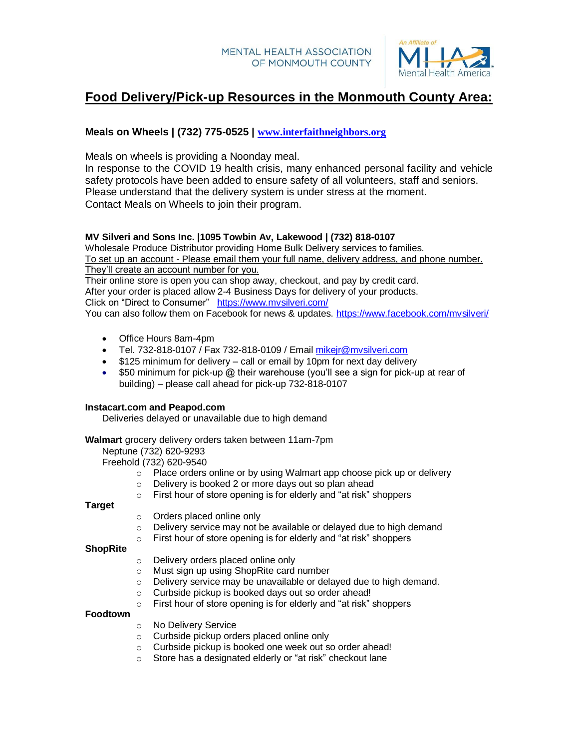

# **Food Delivery/Pick-up Resources in the Monmouth County Area:**

# **Meals on Wheels | (732) 775-0525 | [www.interfaithneighbors.org](http://www.interfaithneighbors.org/)**

Meals on wheels is providing a Noonday meal.

In response to the COVID 19 health crisis, many enhanced personal facility and vehicle safety protocols have been added to ensure safety of all volunteers, staff and seniors. Please understand that the delivery system is under stress at the moment. Contact Meals on Wheels to join their program.

# **MV Silveri and Sons Inc. |1095 Towbin Av, Lakewood | (732) 818-0107**

Wholesale Produce Distributor providing Home Bulk Delivery services to families. To set up an account - Please email them your full name, delivery address, and phone number. They'll create an account number for you.

Their online store is open you can shop away, checkout, and pay by credit card. After your order is placed allow 2-4 Business Days for delivery of your products. Click on "Direct to Consumer" [https://www.mvsilveri.com/](https://nam05.safelinks.protection.outlook.com/?url=https%3A%2F%2Fwww.mvsilveri.com%2F&data=02%7C01%7Cmmckenna%40oceanfirst.com%7C36dd09f1b2f74ed05e9308d7dff33b00%7C9ecf9f35f427431fa3512673f72cd918%7C0%7C0%7C637224108071322813&sdata=WKWE8G3f3eHBYassRiBho1p9zbhV1tqUJRUXLdP5Rbw%3D&reserved=0) 

You can also follow them on Facebook for news & updates. [https://www.facebook.com/mvsilveri/](https://nam05.safelinks.protection.outlook.com/?url=https%3A%2F%2Fwww.facebook.com%2Fmvsilveri%2F&data=02%7C01%7Cmmckenna%40oceanfirst.com%7C36dd09f1b2f74ed05e9308d7dff33b00%7C9ecf9f35f427431fa3512673f72cd918%7C0%7C0%7C637224108071322813&sdata=L4mjHo9fyY2pORLR1zq76TPnq1LKp4pHCmDeUGeYhP4%3D&reserved=0)

- Office Hours 8am-4pm
- Tel. 732-818-0107 / Fax 732-818-0109 / Email [mikejr@mvsilveri.com](mailto:mikejr@mvsilveri.com)
- \$125 minimum for delivery call or email by 10pm for next day delivery
- $\bullet$  \$50 minimum for pick-up  $\omega$  their warehouse (you'll see a sign for pick-up at rear of building) – please call ahead for pick-up 732-818-0107

#### **Instacart.com and Peapod.com**

Deliveries delayed or unavailable due to high demand

**Walmart** grocery delivery orders taken between 11am-7pm

Neptune (732) 620-9293

Freehold (732) 620-9540

- o Place orders online or by using Walmart app choose pick up or delivery
- o Delivery is booked 2 or more days out so plan ahead
- o First hour of store opening is for elderly and "at risk" shoppers

**Target**

- o Orders placed online only
- $\circ$  Delivery service may not be available or delayed due to high demand
- o First hour of store opening is for elderly and "at risk" shoppers

**ShopRite**

- o Delivery orders placed online only
- o Must sign up using ShopRite card number
- o Delivery service may be unavailable or delayed due to high demand.
- o Curbside pickup is booked days out so order ahead!
- $\circ$  First hour of store opening is for elderly and "at risk" shoppers

**Foodtown**

- o No Delivery Service
- o Curbside pickup orders placed online only
- o Curbside pickup is booked one week out so order ahead!
- o Store has a designated elderly or "at risk" checkout lane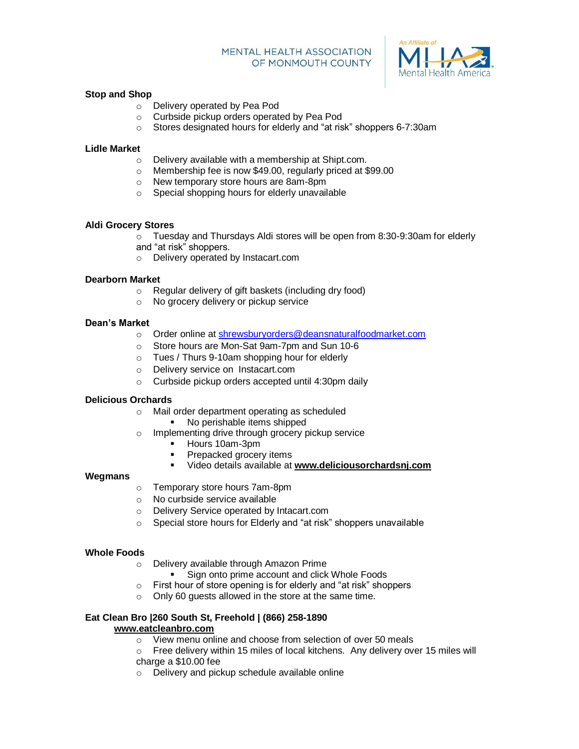

#### $\overline{a}$ **Stop and Shop**

- o Delivery operated by Pea Pod
- o Curbside pickup orders operated by Pea Pod
- o Stores designated hours for elderly and "at risk" shoppers 6-7:30am

#### **Lidle Market**

- o Delivery available with a membership at Shipt.com.
- o Membership fee is now \$49.00, regularly priced at \$99.00
- o New temporary store hours are 8am-8pm
- o Special shopping hours for elderly unavailable

#### **Aldi Grocery Stores**

- $\circ$  Tuesday and Thursdays Aldi stores will be open from 8:30-9:30am for elderly
- and "at risk" shoppers.
- o Delivery operated by Instacart.com

#### **Dearborn Market**

- o Regular delivery of gift baskets (including dry food)
- o No grocery delivery or pickup service

#### **Dean's Market**

- o Order online at [shrewsburyorders@deansnaturalfoodmarket.com](mailto:shrewsburyorders@deansnaturalfoodmarket.com)
- o Store hours are Mon-Sat 9am-7pm and Sun 10-6
- o Tues / Thurs 9-10am shopping hour for elderly
- o Delivery service on Instacart.com
- o Curbside pickup orders accepted until 4:30pm daily

#### **Delicious Orchards**

- o Mail order department operating as scheduled
	- No perishable items shipped
- o Implementing drive through grocery pickup service
	- **Hours 10am-3pm**
	- Prepacked grocery items
	- Video details available at **[www.deliciousorchardsnj.com](http://www.deliciousorchardsnj.com/)**

#### **Wegmans**

- o Temporary store hours 7am-8pm
- o No curbside service available
- o Delivery Service operated by Intacart.com
- o Special store hours for Elderly and "at risk" shoppers unavailable

#### **Whole Foods**

- o Delivery available through Amazon Prime
	- Sign onto prime account and click Whole Foods
- o First hour of store opening is for elderly and "at risk" shoppers
- o Only 60 guests allowed in the store at the same time.

#### **Eat Clean Bro |260 South St, Freehold | (866) 258-1890 [www.eatcleanbro.com](http://www.eatcleanbro.com/)**

- o View menu online and choose from selection of over 50 meals
- o Free delivery within 15 miles of local kitchens. Any delivery over 15 miles will charge a \$10.00 fee
- o Delivery and pickup schedule available online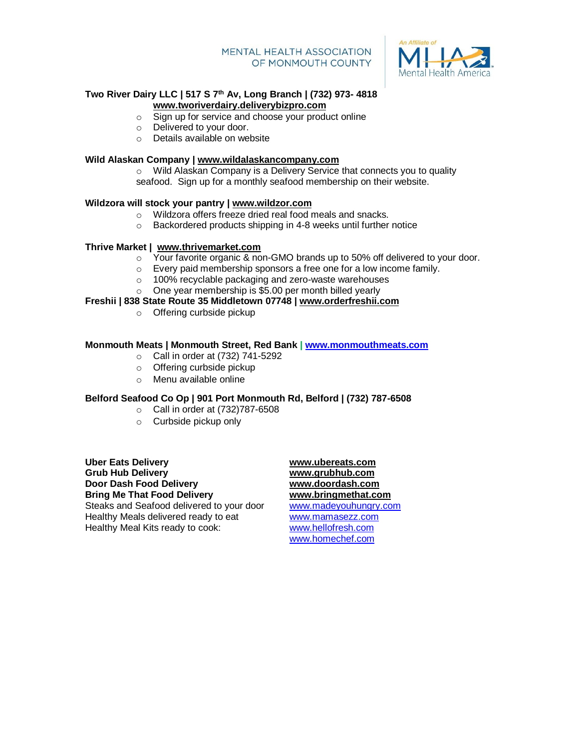

#### $\overline{a}$ **Two River Dairy LLC | 517 S 7th Av, Long Branch | (732) 973- 4818 [www.tworiverdairy.deliverybizpro.com](http://www.tworiverdairy.deliverybizpro.com/)**

- o Sign up for service and choose your product online
- o Delivered to your door.
- o Details available on website

#### **Wild Alaskan Company | [www.wildalaskancompany.com](http://www.wildalaskancompany.com/)**

o Wild Alaskan Company is a Delivery Service that connects you to quality seafood. Sign up for a monthly seafood membership on their website.

#### **Wildzora will stock your pantry | [www.wildzor.com](http://www.wildzor.com/)**

- o Wildzora offers freeze dried real food meals and snacks.
- $\circ$  Backordered products shipping in 4-8 weeks until further notice

#### **Thrive Market | [www.thrivemarket.com](http://www.thrivemarket.com/)**

- $\circ$  Your favorite organic & non-GMO brands up to 50% off delivered to your door.
- o Every paid membership sponsors a free one for a low income family.
- o 100% recyclable packaging and zero-waste warehouses
- o One year membership is \$5.00 per month billed yearly

#### **Freshii | 838 State Route 35 Middletown 07748 | [www.orderfreshii.com](http://www.orderfreshii.com/)**

o Offering curbside pickup

#### **Monmouth Meats | Monmouth Street, Red Bank | [www.monmouthmeats.com](http://www.monmouthmeats.com/)**

- o Call in order at (732) 741-5292
- o Offering curbside pickup
- o Menu available online

#### **Belford Seafood Co Op | 901 Port Monmouth Rd, Belford | (732) 787-6508**

- o Call in order at (732)787-6508
- o Curbside pickup only

**Uber Eats Delivery [www.ubereats.com](http://www.ubereats.com/) Grub Hub Delivery [www.grubhub.com](http://www.grubhub.com/) Door Dash Food Delivery [www.doordash.com](http://www.doordash.com/) Bring Me That Food Delivery [www.bringmethat.com](http://www.bringmethat.com/)** Steaks and Seafood delivered to your door [www.madeyouhungry.com](http://www.madeyouhungry.com/) Healthy Meals delivered ready to eat [www.mamasezz.com](http://www.mamasezz.com/) Healthy Meal Kits ready to cook: [www.hellofresh.com](http://www.hellofresh.com/)

[www.homechef.com](http://www.homechef.com/)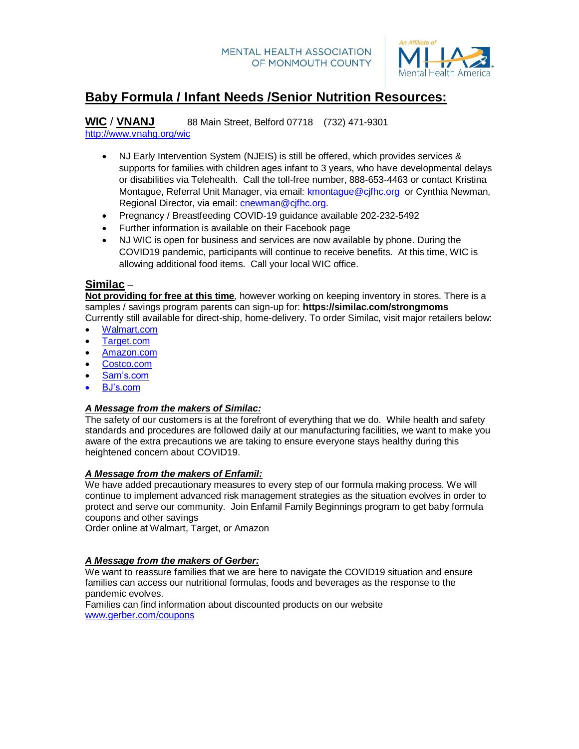

# **Baby Formula / Infant Needs /Senior Nutrition Resources:**

**WIC** / **VNANJ** 88 Main Street, Belford 07718 (732) 471-9301 <http://www.vnahg.org/wic>

- NJ Early Intervention System (NJEIS) is still be offered, which provides services & supports for families with children ages infant to 3 years, who have developmental delays or disabilities via Telehealth. Call the toll-free number, 888-653-4463 or contact Kristina Montague, Referral Unit Manager, via email: [kmontague@cjfhc.org](mailto:kmontague@cjfhc.org) or Cynthia Newman, Regional Director, via email: *cnewman@cjfhc.org.*
- Pregnancy / Breastfeeding COVID-19 guidance available 202-232-5492
- Further information is available on their Facebook page
- NJ WIC is open for business and services are now available by phone. During the COVID19 pandemic, participants will continue to receive benefits. At this time, WIC is allowing additional food items. Call your local WIC office.

# **Similac** –

**Not providing for free at this time**, however working on keeping inventory in stores. There is a samples / savings program parents can sign-up for: **https://similac.com/strongmoms** Currently still available for direct-ship, home-delivery. To order Similac, visit major retailers below:

- [Walmart.com](https://www.walmart.com/browse/baby/similac-baby-formula/5427_133283_9347462)
- [Target.com](https://www.target.com/b/similac/-/N-5zwn2)
- [Amazon.com](https://www.amazon.com/stores/page/E4A42A31-A18F-4E60-B075-A6A1AB2BBAD7?ingress=0&visitId=ab0e9b35-455d-4ee8-b128-dfd74c7456bb&lp_slot=auto-sparkle-hsa-tetris&store_ref=SB_A0596573WJ34HRY54PXU&ref_=sb_s_sparkle)
- [Costco.com](https://www.costco.com/CatalogSearch?dept=All&keyword=similac)
- [Sam's.com](https://www.samsclub.com/s/similac%20formula?clubId=undefined&offset=0&rootDimension=pcs_availability%253AOnlinepipsymbBrand%253ASimilac&searchCategoryId=all&searchTerm=similac+formula&selectedFilter=all&sortKey=relevance&sortOrder=1)
- [BJ's.com](https://www.bjs.com/search/similac/q)

### *A Message from the makers of Similac:*

The safety of our customers is at the forefront of everything that we do. While health and safety standards and procedures are followed daily at our manufacturing facilities, we want to make you aware of the extra precautions we are taking to ensure everyone stays healthy during this heightened concern about COVID19.

# *A Message from the makers of Enfamil:*

We have added precautionary measures to every step of our formula making process. We will continue to implement advanced risk management strategies as the situation evolves in order to protect and serve our community. Join Enfamil Family Beginnings program to get baby formula coupons and other savings

Order online at Walmart, Target, or Amazon

### *A Message from the makers of Gerber:*

We want to reassure families that we are here to navigate the COVID19 situation and ensure families can access our nutritional formulas, foods and beverages as the response to the pandemic evolves.

Families can find information about discounted products on our website [www.gerber.com/coupons](http://www.gerber.com/coupons)